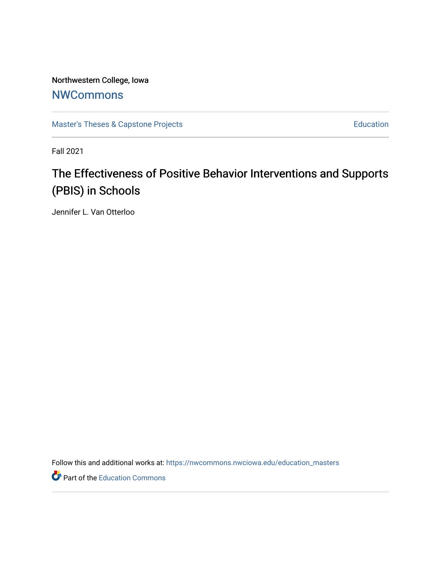Northwestern College, Iowa **[NWCommons](https://nwcommons.nwciowa.edu/)** 

[Master's Theses & Capstone Projects](https://nwcommons.nwciowa.edu/education_masters) **Education** Education

Fall 2021

# The Effectiveness of Positive Behavior Interventions and Supports (PBIS) in Schools

Jennifer L. Van Otterloo

Follow this and additional works at: [https://nwcommons.nwciowa.edu/education\\_masters](https://nwcommons.nwciowa.edu/education_masters?utm_source=nwcommons.nwciowa.edu%2Feducation_masters%2F368&utm_medium=PDF&utm_campaign=PDFCoverPages)

Part of the [Education Commons](http://network.bepress.com/hgg/discipline/784?utm_source=nwcommons.nwciowa.edu%2Feducation_masters%2F368&utm_medium=PDF&utm_campaign=PDFCoverPages)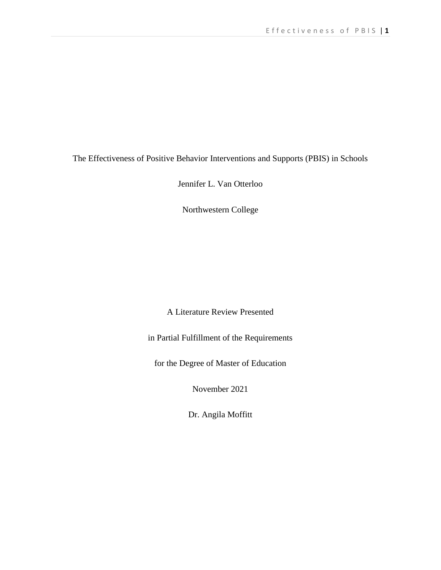The Effectiveness of Positive Behavior Interventions and Supports (PBIS) in Schools

Jennifer L. Van Otterloo

Northwestern College

A Literature Review Presented

in Partial Fulfillment of the Requirements

for the Degree of Master of Education

November 2021

Dr. Angila Moffitt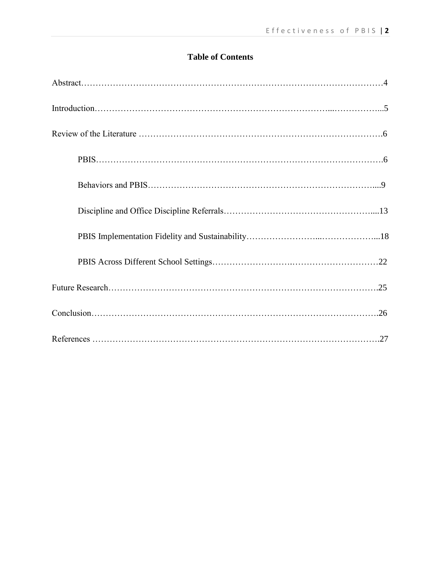## **Table of Contents**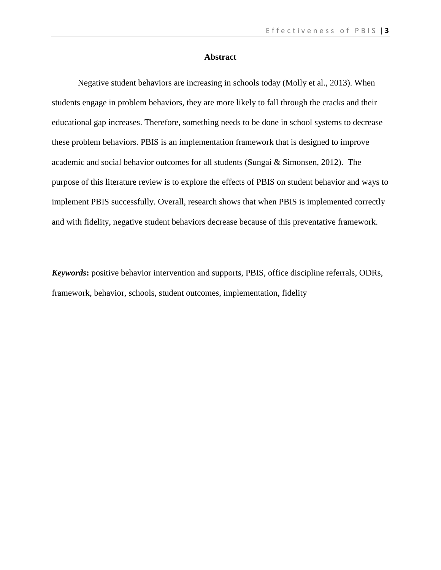#### **Abstract**

Negative student behaviors are increasing in schools today (Molly et al., 2013). When students engage in problem behaviors, they are more likely to fall through the cracks and their educational gap increases. Therefore, something needs to be done in school systems to decrease these problem behaviors. PBIS is an implementation framework that is designed to improve academic and social behavior outcomes for all students (Sungai & Simonsen, 2012). The purpose of this literature review is to explore the effects of PBIS on student behavior and ways to implement PBIS successfully. Overall, research shows that when PBIS is implemented correctly and with fidelity, negative student behaviors decrease because of this preventative framework.

*Keywords***:** positive behavior intervention and supports, PBIS, office discipline referrals, ODRs, framework, behavior, schools, student outcomes, implementation, fidelity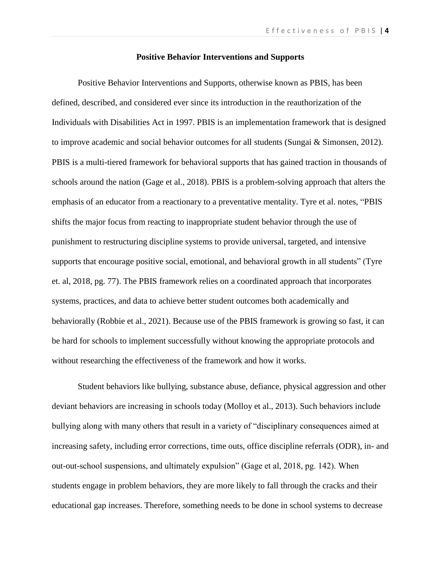### **Positive Behavior Interventions and Supports**

Positive Behavior Interventions and Supports, otherwise known as PBIS, has been defined, described, and considered ever since its introduction in the reauthorization of the Individuals with Disabilities Act in 1997. PBIS is an implementation framework that is designed to improve academic and social behavior outcomes for all students (Sungai & Simonsen, 2012). PBIS is a multi-tiered framework for behavioral supports that has gained traction in thousands of schools around the nation (Gage et al., 2018). PBIS is a problem-solving approach that alters the emphasis of an educator from a reactionary to a preventative mentality. Tyre et al. notes, "PBIS shifts the major focus from reacting to inappropriate student behavior through the use of punishment to restructuring discipline systems to provide universal, targeted, and intensive supports that encourage positive social, emotional, and behavioral growth in all students" (Tyre et. al, 2018, pg. 77). The PBIS framework relies on a coordinated approach that incorporates systems, practices, and data to achieve better student outcomes both academically and behaviorally (Robbie et al., 2021). Because use of the PBIS framework is growing so fast, it can be hard for schools to implement successfully without knowing the appropriate protocols and without researching the effectiveness of the framework and how it works.

Student behaviors like bullying, substance abuse, defiance, physical aggression and other deviant behaviors are increasing in schools today (Molloy et al., 2013). Such behaviors include bullying along with many others that result in a variety of "disciplinary consequences aimed at increasing safety, including error corrections, time outs, office discipline referrals (ODR), in- and out-out-school suspensions, and ultimately expulsion" (Gage et al, 2018, pg. 142). When students engage in problem behaviors, they are more likely to fall through the cracks and their educational gap increases. Therefore, something needs to be done in school systems to decrease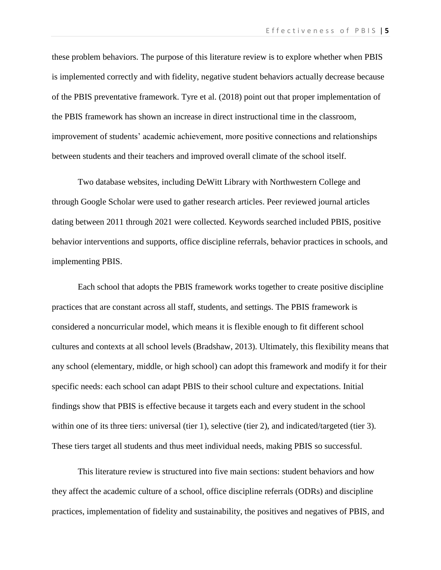these problem behaviors. The purpose of this literature review is to explore whether when PBIS is implemented correctly and with fidelity, negative student behaviors actually decrease because of the PBIS preventative framework. Tyre et al. (2018) point out that proper implementation of the PBIS framework has shown an increase in direct instructional time in the classroom, improvement of students' academic achievement, more positive connections and relationships between students and their teachers and improved overall climate of the school itself.

Two database websites, including DeWitt Library with Northwestern College and through Google Scholar were used to gather research articles. Peer reviewed journal articles dating between 2011 through 2021 were collected. Keywords searched included PBIS, positive behavior interventions and supports, office discipline referrals, behavior practices in schools, and implementing PBIS.

Each school that adopts the PBIS framework works together to create positive discipline practices that are constant across all staff, students, and settings. The PBIS framework is considered a noncurricular model, which means it is flexible enough to fit different school cultures and contexts at all school levels (Bradshaw, 2013). Ultimately, this flexibility means that any school (elementary, middle, or high school) can adopt this framework and modify it for their specific needs: each school can adapt PBIS to their school culture and expectations. Initial findings show that PBIS is effective because it targets each and every student in the school within one of its three tiers: universal (tier 1), selective (tier 2), and indicated/targeted (tier 3). These tiers target all students and thus meet individual needs, making PBIS so successful.

This literature review is structured into five main sections: student behaviors and how they affect the academic culture of a school, office discipline referrals (ODRs) and discipline practices, implementation of fidelity and sustainability, the positives and negatives of PBIS, and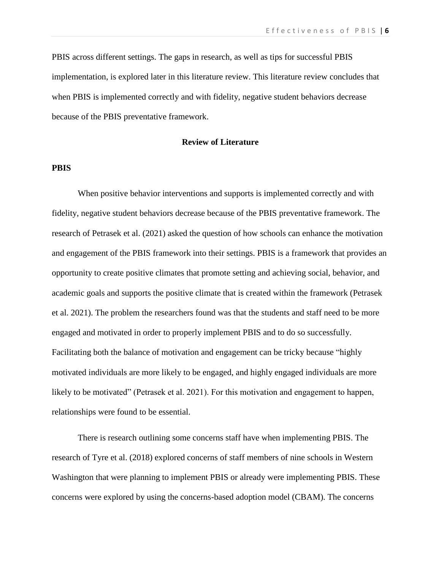E f f e c t i v e n e s s o f P B I S | 6

PBIS across different settings. The gaps in research, as well as tips for successful PBIS implementation, is explored later in this literature review. This literature review concludes that when PBIS is implemented correctly and with fidelity, negative student behaviors decrease because of the PBIS preventative framework.

#### **Review of Literature**

#### **PBIS**

When positive behavior interventions and supports is implemented correctly and with fidelity, negative student behaviors decrease because of the PBIS preventative framework. The research of Petrasek et al. (2021) asked the question of how schools can enhance the motivation and engagement of the PBIS framework into their settings. PBIS is a framework that provides an opportunity to create positive climates that promote setting and achieving social, behavior, and academic goals and supports the positive climate that is created within the framework (Petrasek et al. 2021). The problem the researchers found was that the students and staff need to be more engaged and motivated in order to properly implement PBIS and to do so successfully. Facilitating both the balance of motivation and engagement can be tricky because "highly motivated individuals are more likely to be engaged, and highly engaged individuals are more likely to be motivated" (Petrasek et al. 2021). For this motivation and engagement to happen, relationships were found to be essential.

There is research outlining some concerns staff have when implementing PBIS. The research of Tyre et al. (2018) explored concerns of staff members of nine schools in Western Washington that were planning to implement PBIS or already were implementing PBIS. These concerns were explored by using the concerns-based adoption model (CBAM). The concerns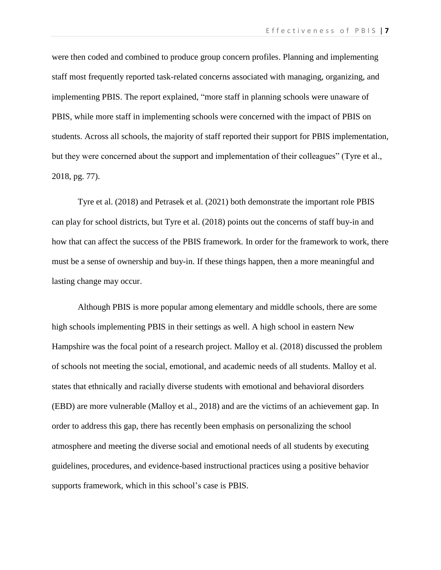E f f e c t i v e n e s s o f P B I S | 7

were then coded and combined to produce group concern profiles. Planning and implementing staff most frequently reported task-related concerns associated with managing, organizing, and implementing PBIS. The report explained, "more staff in planning schools were unaware of PBIS, while more staff in implementing schools were concerned with the impact of PBIS on students. Across all schools, the majority of staff reported their support for PBIS implementation, but they were concerned about the support and implementation of their colleagues" (Tyre et al., 2018, pg. 77).

Tyre et al. (2018) and Petrasek et al. (2021) both demonstrate the important role PBIS can play for school districts, but Tyre et al. (2018) points out the concerns of staff buy-in and how that can affect the success of the PBIS framework. In order for the framework to work, there must be a sense of ownership and buy-in. If these things happen, then a more meaningful and lasting change may occur.

Although PBIS is more popular among elementary and middle schools, there are some high schools implementing PBIS in their settings as well. A high school in eastern New Hampshire was the focal point of a research project. Malloy et al. (2018) discussed the problem of schools not meeting the social, emotional, and academic needs of all students. Malloy et al. states that ethnically and racially diverse students with emotional and behavioral disorders (EBD) are more vulnerable (Malloy et al., 2018) and are the victims of an achievement gap. In order to address this gap, there has recently been emphasis on personalizing the school atmosphere and meeting the diverse social and emotional needs of all students by executing guidelines, procedures, and evidence-based instructional practices using a positive behavior supports framework, which in this school's case is PBIS.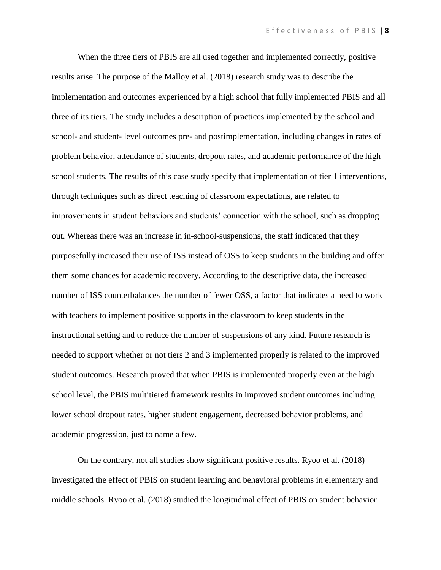When the three tiers of PBIS are all used together and implemented correctly, positive results arise. The purpose of the Malloy et al. (2018) research study was to describe the implementation and outcomes experienced by a high school that fully implemented PBIS and all three of its tiers. The study includes a description of practices implemented by the school and school- and student- level outcomes pre- and postimplementation, including changes in rates of problem behavior, attendance of students, dropout rates, and academic performance of the high school students. The results of this case study specify that implementation of tier 1 interventions, through techniques such as direct teaching of classroom expectations, are related to improvements in student behaviors and students' connection with the school, such as dropping out. Whereas there was an increase in in-school-suspensions, the staff indicated that they purposefully increased their use of ISS instead of OSS to keep students in the building and offer them some chances for academic recovery. According to the descriptive data, the increased number of ISS counterbalances the number of fewer OSS, a factor that indicates a need to work with teachers to implement positive supports in the classroom to keep students in the instructional setting and to reduce the number of suspensions of any kind. Future research is needed to support whether or not tiers 2 and 3 implemented properly is related to the improved student outcomes. Research proved that when PBIS is implemented properly even at the high school level, the PBIS multitiered framework results in improved student outcomes including lower school dropout rates, higher student engagement, decreased behavior problems, and academic progression, just to name a few.

On the contrary, not all studies show significant positive results. Ryoo et al. (2018) investigated the effect of PBIS on student learning and behavioral problems in elementary and middle schools. Ryoo et al. (2018) studied the longitudinal effect of PBIS on student behavior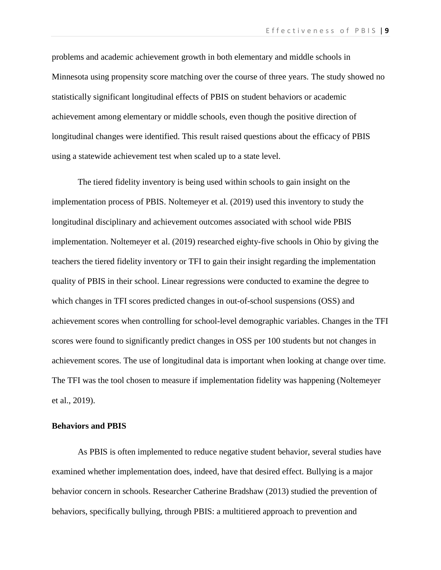problems and academic achievement growth in both elementary and middle schools in Minnesota using propensity score matching over the course of three years. The study showed no statistically significant longitudinal effects of PBIS on student behaviors or academic achievement among elementary or middle schools, even though the positive direction of longitudinal changes were identified. This result raised questions about the efficacy of PBIS using a statewide achievement test when scaled up to a state level.

The tiered fidelity inventory is being used within schools to gain insight on the implementation process of PBIS. Noltemeyer et al. (2019) used this inventory to study the longitudinal disciplinary and achievement outcomes associated with school wide PBIS implementation. Noltemeyer et al. (2019) researched eighty-five schools in Ohio by giving the teachers the tiered fidelity inventory or TFI to gain their insight regarding the implementation quality of PBIS in their school. Linear regressions were conducted to examine the degree to which changes in TFI scores predicted changes in out-of-school suspensions (OSS) and achievement scores when controlling for school-level demographic variables. Changes in the TFI scores were found to significantly predict changes in OSS per 100 students but not changes in achievement scores. The use of longitudinal data is important when looking at change over time. The TFI was the tool chosen to measure if implementation fidelity was happening (Noltemeyer et al., 2019).

#### **Behaviors and PBIS**

As PBIS is often implemented to reduce negative student behavior, several studies have examined whether implementation does, indeed, have that desired effect. Bullying is a major behavior concern in schools. Researcher Catherine Bradshaw (2013) studied the prevention of behaviors, specifically bullying, through PBIS: a multitiered approach to prevention and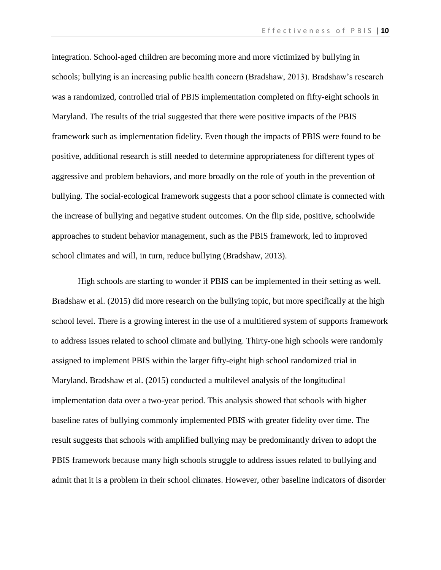integration. School-aged children are becoming more and more victimized by bullying in schools; bullying is an increasing public health concern (Bradshaw, 2013). Bradshaw's research was a randomized, controlled trial of PBIS implementation completed on fifty-eight schools in Maryland. The results of the trial suggested that there were positive impacts of the PBIS framework such as implementation fidelity. Even though the impacts of PBIS were found to be positive, additional research is still needed to determine appropriateness for different types of aggressive and problem behaviors, and more broadly on the role of youth in the prevention of bullying. The social-ecological framework suggests that a poor school climate is connected with the increase of bullying and negative student outcomes. On the flip side, positive, schoolwide approaches to student behavior management, such as the PBIS framework, led to improved school climates and will, in turn, reduce bullying (Bradshaw, 2013).

High schools are starting to wonder if PBIS can be implemented in their setting as well. Bradshaw et al. (2015) did more research on the bullying topic, but more specifically at the high school level. There is a growing interest in the use of a multitiered system of supports framework to address issues related to school climate and bullying. Thirty-one high schools were randomly assigned to implement PBIS within the larger fifty-eight high school randomized trial in Maryland. Bradshaw et al. (2015) conducted a multilevel analysis of the longitudinal implementation data over a two-year period. This analysis showed that schools with higher baseline rates of bullying commonly implemented PBIS with greater fidelity over time. The result suggests that schools with amplified bullying may be predominantly driven to adopt the PBIS framework because many high schools struggle to address issues related to bullying and admit that it is a problem in their school climates. However, other baseline indicators of disorder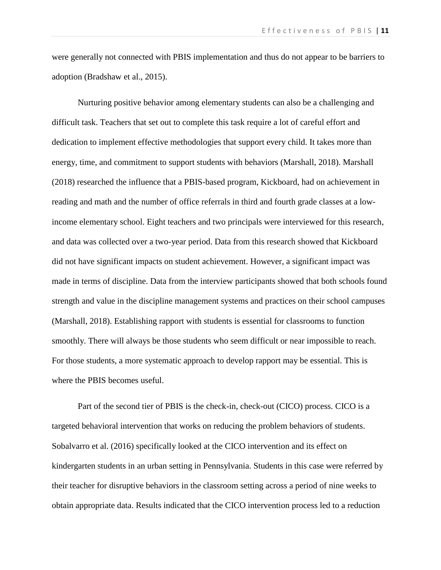were generally not connected with PBIS implementation and thus do not appear to be barriers to adoption (Bradshaw et al., 2015).

Nurturing positive behavior among elementary students can also be a challenging and difficult task. Teachers that set out to complete this task require a lot of careful effort and dedication to implement effective methodologies that support every child. It takes more than energy, time, and commitment to support students with behaviors (Marshall, 2018). Marshall (2018) researched the influence that a PBIS-based program, Kickboard, had on achievement in reading and math and the number of office referrals in third and fourth grade classes at a lowincome elementary school. Eight teachers and two principals were interviewed for this research, and data was collected over a two-year period. Data from this research showed that Kickboard did not have significant impacts on student achievement. However, a significant impact was made in terms of discipline. Data from the interview participants showed that both schools found strength and value in the discipline management systems and practices on their school campuses (Marshall, 2018). Establishing rapport with students is essential for classrooms to function smoothly. There will always be those students who seem difficult or near impossible to reach. For those students, a more systematic approach to develop rapport may be essential. This is where the PBIS becomes useful.

Part of the second tier of PBIS is the check-in, check-out (CICO) process. CICO is a targeted behavioral intervention that works on reducing the problem behaviors of students. Sobalvarro et al. (2016) specifically looked at the CICO intervention and its effect on kindergarten students in an urban setting in Pennsylvania. Students in this case were referred by their teacher for disruptive behaviors in the classroom setting across a period of nine weeks to obtain appropriate data. Results indicated that the CICO intervention process led to a reduction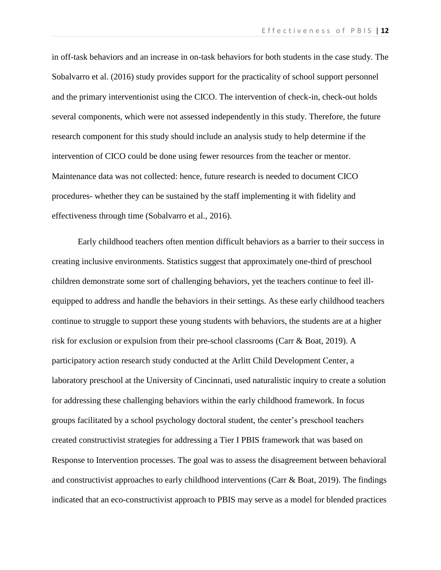in off-task behaviors and an increase in on-task behaviors for both students in the case study. The Sobalvarro et al. (2016) study provides support for the practicality of school support personnel and the primary interventionist using the CICO. The intervention of check-in, check-out holds several components, which were not assessed independently in this study. Therefore, the future research component for this study should include an analysis study to help determine if the intervention of CICO could be done using fewer resources from the teacher or mentor. Maintenance data was not collected: hence, future research is needed to document CICO procedures- whether they can be sustained by the staff implementing it with fidelity and effectiveness through time (Sobalvarro et al., 2016).

Early childhood teachers often mention difficult behaviors as a barrier to their success in creating inclusive environments. Statistics suggest that approximately one-third of preschool children demonstrate some sort of challenging behaviors, yet the teachers continue to feel illequipped to address and handle the behaviors in their settings. As these early childhood teachers continue to struggle to support these young students with behaviors, the students are at a higher risk for exclusion or expulsion from their pre-school classrooms (Carr & Boat, 2019). A participatory action research study conducted at the Arlitt Child Development Center, a laboratory preschool at the University of Cincinnati, used naturalistic inquiry to create a solution for addressing these challenging behaviors within the early childhood framework. In focus groups facilitated by a school psychology doctoral student, the center's preschool teachers created constructivist strategies for addressing a Tier I PBIS framework that was based on Response to Intervention processes. The goal was to assess the disagreement between behavioral and constructivist approaches to early childhood interventions (Carr & Boat, 2019). The findings indicated that an eco-constructivist approach to PBIS may serve as a model for blended practices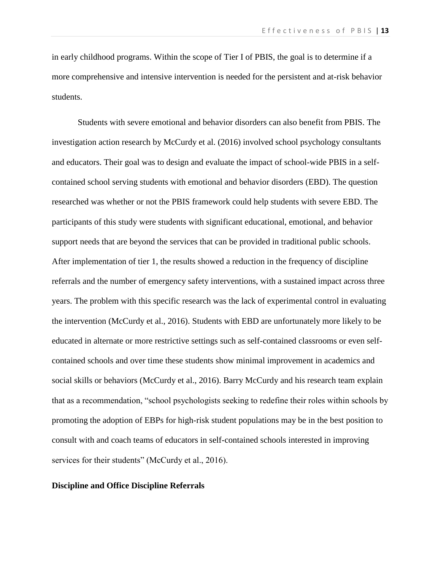in early childhood programs. Within the scope of Tier I of PBIS, the goal is to determine if a more comprehensive and intensive intervention is needed for the persistent and at-risk behavior students.

Students with severe emotional and behavior disorders can also benefit from PBIS. The investigation action research by McCurdy et al. (2016) involved school psychology consultants and educators. Their goal was to design and evaluate the impact of school-wide PBIS in a selfcontained school serving students with emotional and behavior disorders (EBD). The question researched was whether or not the PBIS framework could help students with severe EBD. The participants of this study were students with significant educational, emotional, and behavior support needs that are beyond the services that can be provided in traditional public schools. After implementation of tier 1, the results showed a reduction in the frequency of discipline referrals and the number of emergency safety interventions, with a sustained impact across three years. The problem with this specific research was the lack of experimental control in evaluating the intervention (McCurdy et al., 2016). Students with EBD are unfortunately more likely to be educated in alternate or more restrictive settings such as self-contained classrooms or even selfcontained schools and over time these students show minimal improvement in academics and social skills or behaviors (McCurdy et al., 2016). Barry McCurdy and his research team explain that as a recommendation, "school psychologists seeking to redefine their roles within schools by promoting the adoption of EBPs for high-risk student populations may be in the best position to consult with and coach teams of educators in self-contained schools interested in improving services for their students" (McCurdy et al., 2016).

#### **Discipline and Office Discipline Referrals**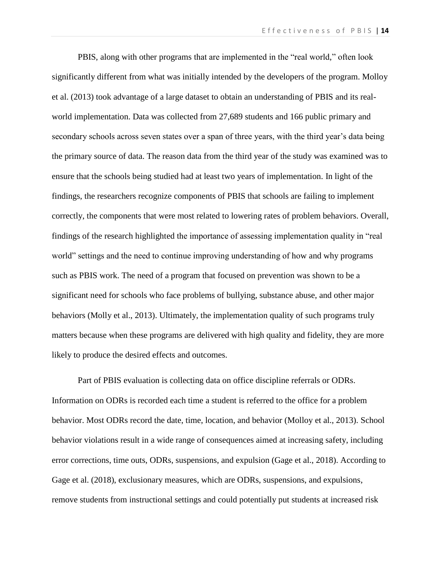PBIS, along with other programs that are implemented in the "real world," often look significantly different from what was initially intended by the developers of the program. Molloy et al. (2013) took advantage of a large dataset to obtain an understanding of PBIS and its realworld implementation. Data was collected from 27,689 students and 166 public primary and secondary schools across seven states over a span of three years, with the third year's data being the primary source of data. The reason data from the third year of the study was examined was to ensure that the schools being studied had at least two years of implementation. In light of the findings, the researchers recognize components of PBIS that schools are failing to implement correctly, the components that were most related to lowering rates of problem behaviors. Overall, findings of the research highlighted the importance of assessing implementation quality in "real world" settings and the need to continue improving understanding of how and why programs such as PBIS work. The need of a program that focused on prevention was shown to be a significant need for schools who face problems of bullying, substance abuse, and other major behaviors (Molly et al., 2013). Ultimately, the implementation quality of such programs truly matters because when these programs are delivered with high quality and fidelity, they are more likely to produce the desired effects and outcomes.

Part of PBIS evaluation is collecting data on office discipline referrals or ODRs. Information on ODRs is recorded each time a student is referred to the office for a problem behavior. Most ODRs record the date, time, location, and behavior (Molloy et al., 2013). School behavior violations result in a wide range of consequences aimed at increasing safety, including error corrections, time outs, ODRs, suspensions, and expulsion (Gage et al., 2018). According to Gage et al. (2018), exclusionary measures, which are ODRs, suspensions, and expulsions, remove students from instructional settings and could potentially put students at increased risk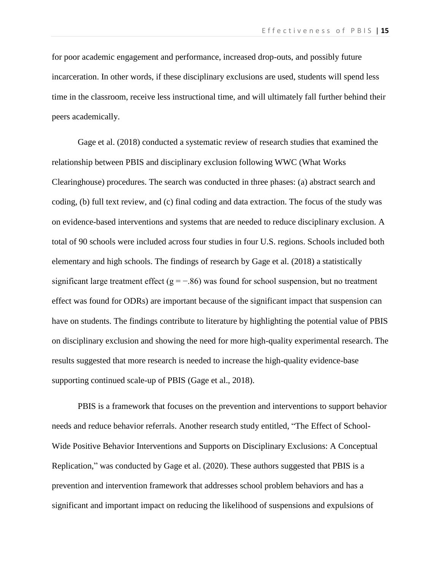for poor academic engagement and performance, increased drop-outs, and possibly future incarceration. In other words, if these disciplinary exclusions are used, students will spend less time in the classroom, receive less instructional time, and will ultimately fall further behind their peers academically.

Gage et al. (2018) conducted a systematic review of research studies that examined the relationship between PBIS and disciplinary exclusion following WWC (What Works Clearinghouse) procedures. The search was conducted in three phases: (a) abstract search and coding, (b) full text review, and (c) final coding and data extraction. The focus of the study was on evidence-based interventions and systems that are needed to reduce disciplinary exclusion. A total of 90 schools were included across four studies in four U.S. regions. Schools included both elementary and high schools. The findings of research by Gage et al. (2018) a statistically significant large treatment effect ( $g = -.86$ ) was found for school suspension, but no treatment effect was found for ODRs) are important because of the significant impact that suspension can have on students. The findings contribute to literature by highlighting the potential value of PBIS on disciplinary exclusion and showing the need for more high-quality experimental research. The results suggested that more research is needed to increase the high-quality evidence-base supporting continued scale-up of PBIS (Gage et al., 2018).

PBIS is a framework that focuses on the prevention and interventions to support behavior needs and reduce behavior referrals. Another research study entitled, "The Effect of School-Wide Positive Behavior Interventions and Supports on Disciplinary Exclusions: A Conceptual Replication," was conducted by Gage et al. (2020). These authors suggested that PBIS is a prevention and intervention framework that addresses school problem behaviors and has a significant and important impact on reducing the likelihood of suspensions and expulsions of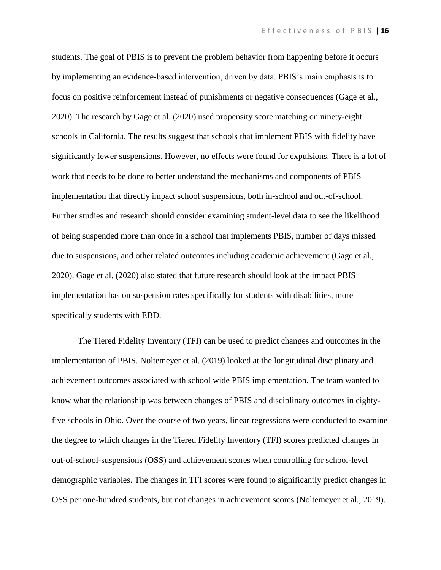students. The goal of PBIS is to prevent the problem behavior from happening before it occurs by implementing an evidence-based intervention, driven by data. PBIS's main emphasis is to focus on positive reinforcement instead of punishments or negative consequences (Gage et al., 2020). The research by Gage et al. (2020) used propensity score matching on ninety-eight schools in California. The results suggest that schools that implement PBIS with fidelity have significantly fewer suspensions. However, no effects were found for expulsions. There is a lot of work that needs to be done to better understand the mechanisms and components of PBIS implementation that directly impact school suspensions, both in-school and out-of-school. Further studies and research should consider examining student-level data to see the likelihood of being suspended more than once in a school that implements PBIS, number of days missed due to suspensions, and other related outcomes including academic achievement (Gage et al., 2020). Gage et al. (2020) also stated that future research should look at the impact PBIS implementation has on suspension rates specifically for students with disabilities, more specifically students with EBD.

The Tiered Fidelity Inventory (TFI) can be used to predict changes and outcomes in the implementation of PBIS. Noltemeyer et al. (2019) looked at the longitudinal disciplinary and achievement outcomes associated with school wide PBIS implementation. The team wanted to know what the relationship was between changes of PBIS and disciplinary outcomes in eightyfive schools in Ohio. Over the course of two years, linear regressions were conducted to examine the degree to which changes in the Tiered Fidelity Inventory (TFI) scores predicted changes in out-of-school-suspensions (OSS) and achievement scores when controlling for school-level demographic variables. The changes in TFI scores were found to significantly predict changes in OSS per one-hundred students, but not changes in achievement scores (Noltemeyer et al., 2019).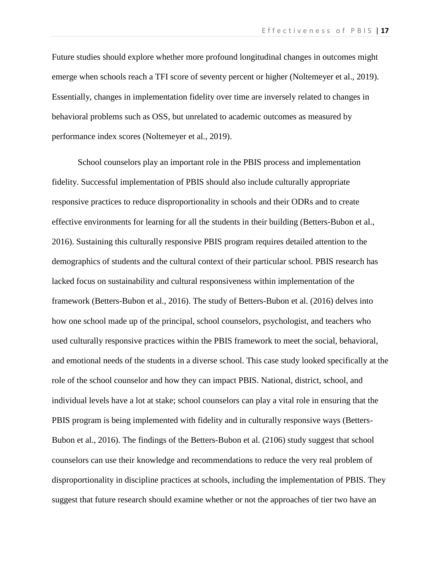Future studies should explore whether more profound longitudinal changes in outcomes might emerge when schools reach a TFI score of seventy percent or higher (Noltemeyer et al., 2019). Essentially, changes in implementation fidelity over time are inversely related to changes in behavioral problems such as OSS, but unrelated to academic outcomes as measured by performance index scores (Noltemeyer et al., 2019).

School counselors play an important role in the PBIS process and implementation fidelity. Successful implementation of PBIS should also include culturally appropriate responsive practices to reduce disproportionality in schools and their ODRs and to create effective environments for learning for all the students in their building (Betters-Bubon et al., 2016). Sustaining this culturally responsive PBIS program requires detailed attention to the demographics of students and the cultural context of their particular school. PBIS research has lacked focus on sustainability and cultural responsiveness within implementation of the framework (Betters-Bubon et al., 2016). The study of Betters-Bubon et al. (2016) delves into how one school made up of the principal, school counselors, psychologist, and teachers who used culturally responsive practices within the PBIS framework to meet the social, behavioral, and emotional needs of the students in a diverse school. This case study looked specifically at the role of the school counselor and how they can impact PBIS. National, district, school, and individual levels have a lot at stake; school counselors can play a vital role in ensuring that the PBIS program is being implemented with fidelity and in culturally responsive ways (Betters-Bubon et al., 2016). The findings of the Betters-Bubon et al. (2106) study suggest that school counselors can use their knowledge and recommendations to reduce the very real problem of disproportionality in discipline practices at schools, including the implementation of PBIS. They suggest that future research should examine whether or not the approaches of tier two have an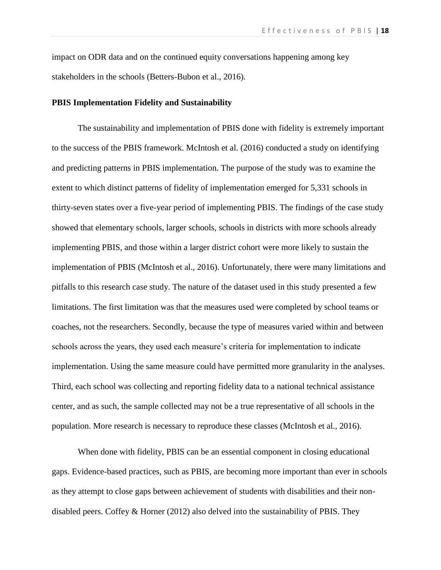impact on ODR data and on the continued equity conversations happening among key stakeholders in the schools (Betters-Bubon et al., 2016).

#### **PBIS Implementation Fidelity and Sustainability**

The sustainability and implementation of PBIS done with fidelity is extremely important to the success of the PBIS framework. McIntosh et al. (2016) conducted a study on identifying and predicting patterns in PBIS implementation. The purpose of the study was to examine the extent to which distinct patterns of fidelity of implementation emerged for 5,331 schools in thirty-seven states over a five-year period of implementing PBIS. The findings of the case study showed that elementary schools, larger schools, schools in districts with more schools already implementing PBIS, and those within a larger district cohort were more likely to sustain the implementation of PBIS (McIntosh et al., 2016). Unfortunately, there were many limitations and pitfalls to this research case study. The nature of the dataset used in this study presented a few limitations. The first limitation was that the measures used were completed by school teams or coaches, not the researchers. Secondly, because the type of measures varied within and between schools across the years, they used each measure's criteria for implementation to indicate implementation. Using the same measure could have permitted more granularity in the analyses. Third, each school was collecting and reporting fidelity data to a national technical assistance center, and as such, the sample collected may not be a true representative of all schools in the population. More research is necessary to reproduce these classes (McIntosh et al., 2016).

When done with fidelity, PBIS can be an essential component in closing educational gaps. Evidence-based practices, such as PBIS, are becoming more important than ever in schools as they attempt to close gaps between achievement of students with disabilities and their nondisabled peers. Coffey & Horner (2012) also delved into the sustainability of PBIS. They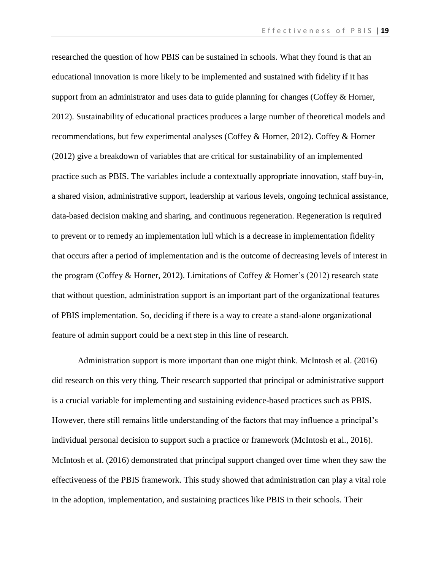researched the question of how PBIS can be sustained in schools. What they found is that an educational innovation is more likely to be implemented and sustained with fidelity if it has support from an administrator and uses data to guide planning for changes (Coffey & Horner, 2012). Sustainability of educational practices produces a large number of theoretical models and recommendations, but few experimental analyses (Coffey & Horner, 2012). Coffey & Horner (2012) give a breakdown of variables that are critical for sustainability of an implemented practice such as PBIS. The variables include a contextually appropriate innovation, staff buy-in, a shared vision, administrative support, leadership at various levels, ongoing technical assistance, data-based decision making and sharing, and continuous regeneration. Regeneration is required to prevent or to remedy an implementation lull which is a decrease in implementation fidelity that occurs after a period of implementation and is the outcome of decreasing levels of interest in the program (Coffey & Horner, 2012). Limitations of Coffey & Horner's (2012) research state that without question, administration support is an important part of the organizational features of PBIS implementation. So, deciding if there is a way to create a stand-alone organizational feature of admin support could be a next step in this line of research.

Administration support is more important than one might think. McIntosh et al. (2016) did research on this very thing. Their research supported that principal or administrative support is a crucial variable for implementing and sustaining evidence-based practices such as PBIS. However, there still remains little understanding of the factors that may influence a principal's individual personal decision to support such a practice or framework (McIntosh et al., 2016). McIntosh et al. (2016) demonstrated that principal support changed over time when they saw the effectiveness of the PBIS framework. This study showed that administration can play a vital role in the adoption, implementation, and sustaining practices like PBIS in their schools. Their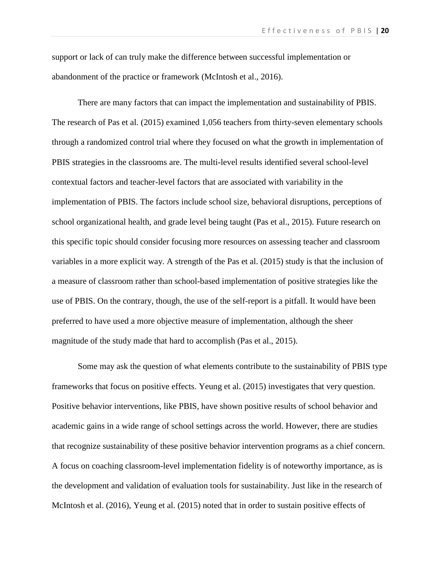support or lack of can truly make the difference between successful implementation or abandonment of the practice or framework (McIntosh et al., 2016).

There are many factors that can impact the implementation and sustainability of PBIS. The research of Pas et al. (2015) examined 1,056 teachers from thirty-seven elementary schools through a randomized control trial where they focused on what the growth in implementation of PBIS strategies in the classrooms are. The multi-level results identified several school-level contextual factors and teacher-level factors that are associated with variability in the implementation of PBIS. The factors include school size, behavioral disruptions, perceptions of school organizational health, and grade level being taught (Pas et al., 2015). Future research on this specific topic should consider focusing more resources on assessing teacher and classroom variables in a more explicit way. A strength of the Pas et al. (2015) study is that the inclusion of a measure of classroom rather than school-based implementation of positive strategies like the use of PBIS. On the contrary, though, the use of the self-report is a pitfall. It would have been preferred to have used a more objective measure of implementation, although the sheer magnitude of the study made that hard to accomplish (Pas et al., 2015).

Some may ask the question of what elements contribute to the sustainability of PBIS type frameworks that focus on positive effects. Yeung et al. (2015) investigates that very question. Positive behavior interventions, like PBIS, have shown positive results of school behavior and academic gains in a wide range of school settings across the world. However, there are studies that recognize sustainability of these positive behavior intervention programs as a chief concern. A focus on coaching classroom-level implementation fidelity is of noteworthy importance, as is the development and validation of evaluation tools for sustainability. Just like in the research of McIntosh et al. (2016), Yeung et al. (2015) noted that in order to sustain positive effects of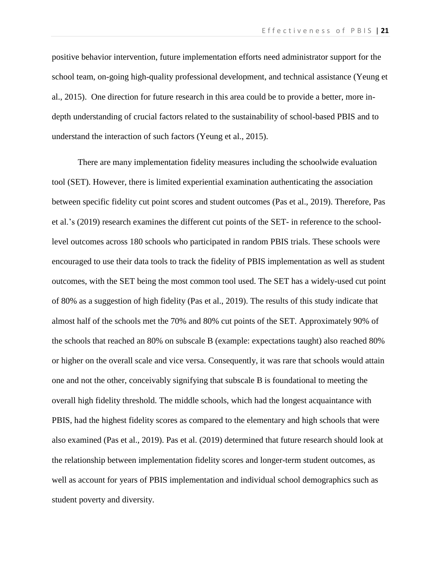positive behavior intervention, future implementation efforts need administrator support for the school team, on-going high-quality professional development, and technical assistance (Yeung et al., 2015). One direction for future research in this area could be to provide a better, more indepth understanding of crucial factors related to the sustainability of school-based PBIS and to understand the interaction of such factors (Yeung et al., 2015).

There are many implementation fidelity measures including the schoolwide evaluation tool (SET). However, there is limited experiential examination authenticating the association between specific fidelity cut point scores and student outcomes (Pas et al., 2019). Therefore, Pas et al.'s (2019) research examines the different cut points of the SET- in reference to the schoollevel outcomes across 180 schools who participated in random PBIS trials. These schools were encouraged to use their data tools to track the fidelity of PBIS implementation as well as student outcomes, with the SET being the most common tool used. The SET has a widely-used cut point of 80% as a suggestion of high fidelity (Pas et al., 2019). The results of this study indicate that almost half of the schools met the 70% and 80% cut points of the SET. Approximately 90% of the schools that reached an 80% on subscale B (example: expectations taught) also reached 80% or higher on the overall scale and vice versa. Consequently, it was rare that schools would attain one and not the other, conceivably signifying that subscale B is foundational to meeting the overall high fidelity threshold. The middle schools, which had the longest acquaintance with PBIS, had the highest fidelity scores as compared to the elementary and high schools that were also examined (Pas et al., 2019). Pas et al. (2019) determined that future research should look at the relationship between implementation fidelity scores and longer-term student outcomes, as well as account for years of PBIS implementation and individual school demographics such as student poverty and diversity.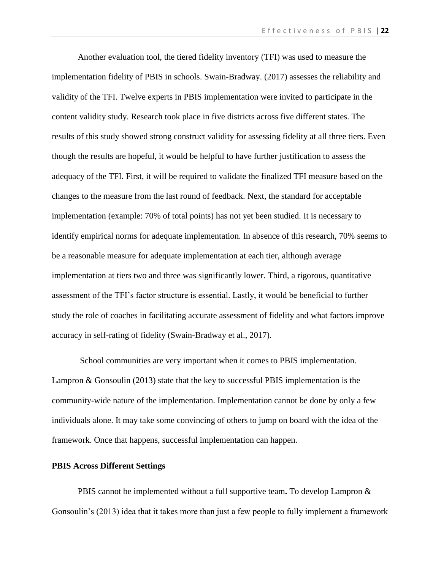Another evaluation tool, the tiered fidelity inventory (TFI) was used to measure the implementation fidelity of PBIS in schools. Swain-Bradway. (2017) assesses the reliability and validity of the TFI. Twelve experts in PBIS implementation were invited to participate in the content validity study. Research took place in five districts across five different states. The results of this study showed strong construct validity for assessing fidelity at all three tiers. Even though the results are hopeful, it would be helpful to have further justification to assess the adequacy of the TFI. First, it will be required to validate the finalized TFI measure based on the changes to the measure from the last round of feedback. Next, the standard for acceptable implementation (example: 70% of total points) has not yet been studied. It is necessary to identify empirical norms for adequate implementation. In absence of this research, 70% seems to be a reasonable measure for adequate implementation at each tier, although average implementation at tiers two and three was significantly lower. Third, a rigorous, quantitative assessment of the TFI's factor structure is essential. Lastly, it would be beneficial to further study the role of coaches in facilitating accurate assessment of fidelity and what factors improve accuracy in self-rating of fidelity (Swain-Bradway et al., 2017).

School communities are very important when it comes to PBIS implementation. Lampron & Gonsoulin (2013) state that the key to successful PBIS implementation is the community-wide nature of the implementation. Implementation cannot be done by only a few individuals alone. It may take some convincing of others to jump on board with the idea of the framework. Once that happens, successful implementation can happen.

#### **PBIS Across Different Settings**

PBIS cannot be implemented without a full supportive team**.** To develop Lampron & Gonsoulin's (2013) idea that it takes more than just a few people to fully implement a framework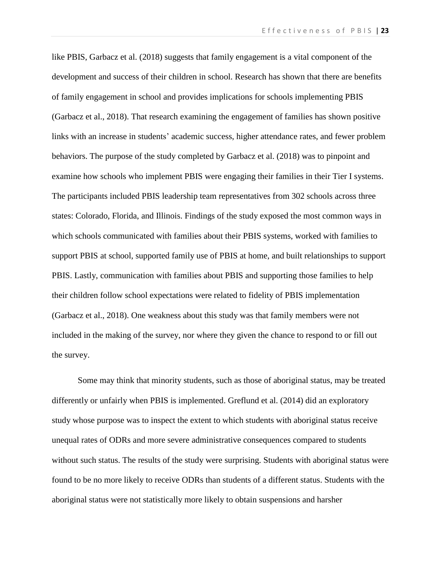like PBIS, Garbacz et al. (2018) suggests that family engagement is a vital component of the development and success of their children in school. Research has shown that there are benefits of family engagement in school and provides implications for schools implementing PBIS (Garbacz et al., 2018). That research examining the engagement of families has shown positive links with an increase in students' academic success, higher attendance rates, and fewer problem behaviors. The purpose of the study completed by Garbacz et al. (2018) was to pinpoint and examine how schools who implement PBIS were engaging their families in their Tier I systems. The participants included PBIS leadership team representatives from 302 schools across three states: Colorado, Florida, and Illinois. Findings of the study exposed the most common ways in which schools communicated with families about their PBIS systems, worked with families to support PBIS at school, supported family use of PBIS at home, and built relationships to support PBIS. Lastly, communication with families about PBIS and supporting those families to help their children follow school expectations were related to fidelity of PBIS implementation (Garbacz et al., 2018). One weakness about this study was that family members were not included in the making of the survey, nor where they given the chance to respond to or fill out the survey.

Some may think that minority students, such as those of aboriginal status, may be treated differently or unfairly when PBIS is implemented. Greflund et al. (2014) did an exploratory study whose purpose was to inspect the extent to which students with aboriginal status receive unequal rates of ODRs and more severe administrative consequences compared to students without such status. The results of the study were surprising. Students with aboriginal status were found to be no more likely to receive ODRs than students of a different status. Students with the aboriginal status were not statistically more likely to obtain suspensions and harsher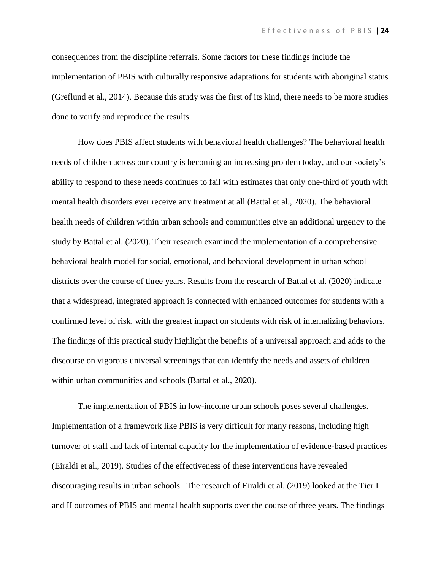consequences from the discipline referrals. Some factors for these findings include the implementation of PBIS with culturally responsive adaptations for students with aboriginal status (Greflund et al., 2014). Because this study was the first of its kind, there needs to be more studies done to verify and reproduce the results.

How does PBIS affect students with behavioral health challenges? The behavioral health needs of children across our country is becoming an increasing problem today, and our society's ability to respond to these needs continues to fail with estimates that only one-third of youth with mental health disorders ever receive any treatment at all (Battal et al., 2020). The behavioral health needs of children within urban schools and communities give an additional urgency to the study by Battal et al. (2020). Their research examined the implementation of a comprehensive behavioral health model for social, emotional, and behavioral development in urban school districts over the course of three years. Results from the research of Battal et al. (2020) indicate that a widespread, integrated approach is connected with enhanced outcomes for students with a confirmed level of risk, with the greatest impact on students with risk of internalizing behaviors. The findings of this practical study highlight the benefits of a universal approach and adds to the discourse on vigorous universal screenings that can identify the needs and assets of children within urban communities and schools (Battal et al., 2020).

The implementation of PBIS in low-income urban schools poses several challenges. Implementation of a framework like PBIS is very difficult for many reasons, including high turnover of staff and lack of internal capacity for the implementation of evidence-based practices (Eiraldi et al., 2019). Studies of the effectiveness of these interventions have revealed discouraging results in urban schools. The research of Eiraldi et al. (2019) looked at the Tier I and II outcomes of PBIS and mental health supports over the course of three years. The findings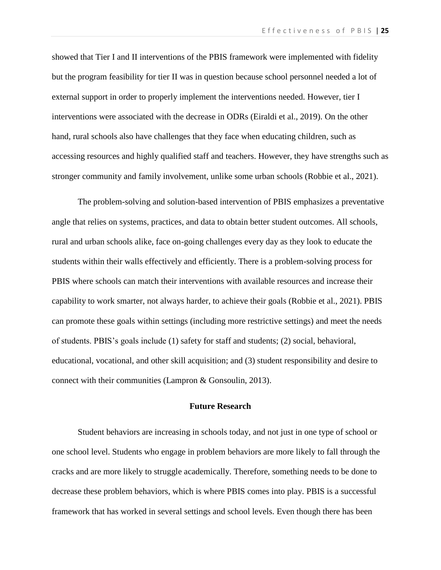showed that Tier I and II interventions of the PBIS framework were implemented with fidelity but the program feasibility for tier II was in question because school personnel needed a lot of external support in order to properly implement the interventions needed. However, tier I interventions were associated with the decrease in ODRs (Eiraldi et al., 2019). On the other hand, rural schools also have challenges that they face when educating children, such as accessing resources and highly qualified staff and teachers. However, they have strengths such as stronger community and family involvement, unlike some urban schools (Robbie et al., 2021).

The problem-solving and solution-based intervention of PBIS emphasizes a preventative angle that relies on systems, practices, and data to obtain better student outcomes. All schools, rural and urban schools alike, face on-going challenges every day as they look to educate the students within their walls effectively and efficiently. There is a problem-solving process for PBIS where schools can match their interventions with available resources and increase their capability to work smarter, not always harder, to achieve their goals (Robbie et al., 2021). PBIS can promote these goals within settings (including more restrictive settings) and meet the needs of students. PBIS's goals include (1) safety for staff and students; (2) social, behavioral, educational, vocational, and other skill acquisition; and (3) student responsibility and desire to connect with their communities (Lampron & Gonsoulin, 2013).

#### **Future Research**

Student behaviors are increasing in schools today, and not just in one type of school or one school level. Students who engage in problem behaviors are more likely to fall through the cracks and are more likely to struggle academically. Therefore, something needs to be done to decrease these problem behaviors, which is where PBIS comes into play. PBIS is a successful framework that has worked in several settings and school levels. Even though there has been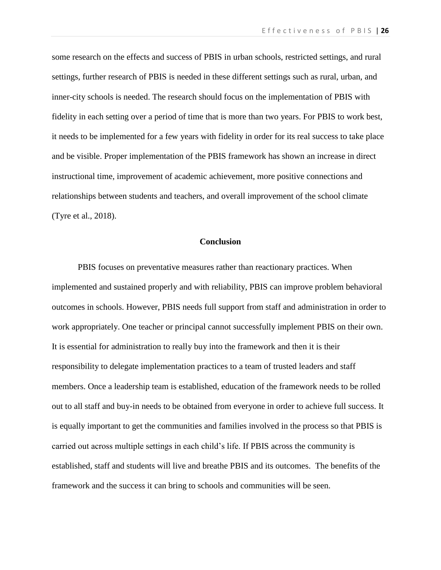some research on the effects and success of PBIS in urban schools, restricted settings, and rural settings, further research of PBIS is needed in these different settings such as rural, urban, and inner-city schools is needed. The research should focus on the implementation of PBIS with fidelity in each setting over a period of time that is more than two years. For PBIS to work best, it needs to be implemented for a few years with fidelity in order for its real success to take place and be visible. Proper implementation of the PBIS framework has shown an increase in direct instructional time, improvement of academic achievement, more positive connections and relationships between students and teachers, and overall improvement of the school climate (Tyre et al., 2018).

#### **Conclusion**

PBIS focuses on preventative measures rather than reactionary practices. When implemented and sustained properly and with reliability, PBIS can improve problem behavioral outcomes in schools. However, PBIS needs full support from staff and administration in order to work appropriately. One teacher or principal cannot successfully implement PBIS on their own. It is essential for administration to really buy into the framework and then it is their responsibility to delegate implementation practices to a team of trusted leaders and staff members. Once a leadership team is established, education of the framework needs to be rolled out to all staff and buy-in needs to be obtained from everyone in order to achieve full success. It is equally important to get the communities and families involved in the process so that PBIS is carried out across multiple settings in each child's life. If PBIS across the community is established, staff and students will live and breathe PBIS and its outcomes. The benefits of the framework and the success it can bring to schools and communities will be seen.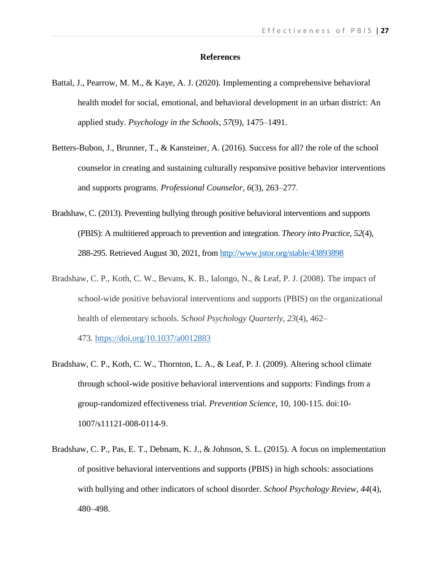#### **References**

- Battal, J., Pearrow, M. M., & Kaye, A. J. (2020). Implementing a comprehensive behavioral health model for social, emotional, and behavioral development in an urban district: An applied study. *Psychology in the Schools*, *57*(9), 1475–1491.
- Betters-Bubon, J., Brunner, T., & Kansteiner, A. (2016). Success for all? the role of the school counselor in creating and sustaining culturally responsive positive behavior interventions and supports programs. *Professional Counselor*, *6*(3), 263–277.
- Bradshaw, C. (2013). Preventing bullying through positive behavioral interventions and supports (PBIS): A multitiered approach to prevention and integration. *Theory into Practice, 52*(4), 288-295. Retrieved August 30, 2021, from<http://www.jstor.org/stable/43893898>
- Bradshaw, C. P., Koth, C. W., Bevans, K. B., Ialongo, N., & Leaf, P. J. (2008). The impact of school-wide positive behavioral interventions and supports (PBIS) on the organizational health of elementary schools. *School Psychology Quarterly, 23*(4), 462– 473. [https://doi.org/10.1037/a0012883](https://doi.apa.org/doi/10.1037/a0012883)
- Bradshaw, C. P., Koth, C. W., Thornton, L. A., & Leaf, P. J. (2009). Altering school climate through school-wide positive behavioral interventions and supports: Findings from a group-randomized effectiveness trial. *Prevention Science*, 10, 100-115. doi:10- 1007/s11121-008-0114-9.
- Bradshaw, C. P., Pas, E. T., Debnam, K. J., & Johnson, S. L. (2015). A focus on implementation of positive behavioral interventions and supports (PBIS) in high schools: associations with bullying and other indicators of school disorder. *School Psychology Review*, *44*(4), 480–498.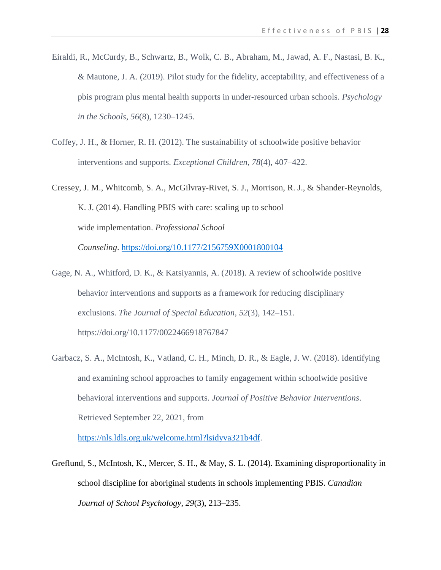- Eiraldi, R., McCurdy, B., Schwartz, B., Wolk, C. B., Abraham, M., Jawad, A. F., Nastasi, B. K., & Mautone, J. A. (2019). Pilot study for the fidelity, acceptability, and effectiveness of a pbis program plus mental health supports in under-resourced urban schools. *Psychology in the Schools*, *56*(8), 1230–1245.
- Coffey, J. H., & Horner, R. H. (2012). The sustainability of schoolwide positive behavior interventions and supports. *Exceptional Children*, *78*(4), 407–422.

Cressey, J. M., Whitcomb, S. A., McGilvray-Rivet, S. J., Morrison, R. J., & Shander-Reynolds, K. J. (2014). Handling PBIS with care: scaling up to school wide implementation. *Professional School Counseling*. <https://doi.org/10.1177/2156759X0001800104>

- Gage, N. A., Whitford, D. K., & Katsiyannis, A. (2018). A review of schoolwide positive behavior interventions and supports as a framework for reducing disciplinary exclusions. *The Journal of Special Education*, *52*(3), 142–151. https://doi.org/10.1177/0022466918767847
- Garbacz, S. A., McIntosh, K., Vatland, C. H., Minch, D. R., & Eagle, J. W. (2018). Identifying and examining school approaches to family engagement within schoolwide positive behavioral interventions and supports. *Journal of Positive Behavior Interventions*. Retrieved September 22, 2021, from

[https://nls.ldls.org.uk/welcome.html?lsidyva321b4df.](https://nls.ldls.org.uk/welcome.html?lsidyva321b4df)

Greflund, S., McIntosh, K., Mercer, S. H., & May, S. L. (2014). Examining disproportionality in school discipline for aboriginal students in schools implementing PBIS. *Canadian Journal of School Psychology*, *29*(3), 213–235.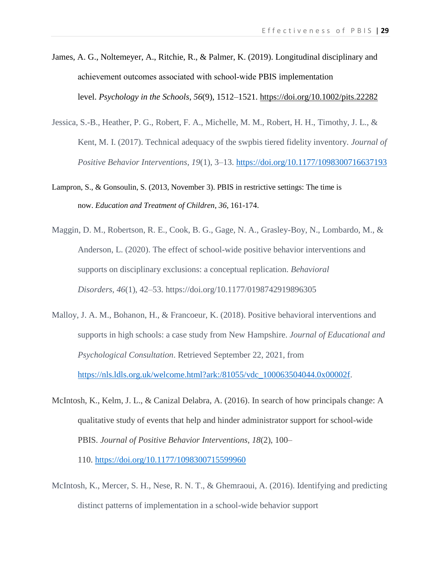- James, A. G., Noltemeyer, A., Ritchie, R., & Palmer, K. (2019). Longitudinal disciplinary and achievement outcomes associated with school‐wide PBIS implementation level. *Psychology in the Schools*, *56*(9), 1512–1521.<https://doi.org/10.1002/pits.22282>
- Jessica, S.-B., Heather, P. G., Robert, F. A., Michelle, M. M., Robert, H. H., Timothy, J. L., & Kent, M. I. (2017). Technical adequacy of the swpbis tiered fidelity inventory. *Journal of Positive Behavior Interventions*, *19*(1), 3–13.<https://doi.org/10.1177/1098300716637193>
- Lampron, S., & Gonsoulin, S. (2013, November 3). PBIS in restrictive settings: The time is now. *Education and Treatment of Children*, *36*, 161-174.
- Maggin, D. M., Robertson, R. E., Cook, B. G., Gage, N. A., Grasley-Boy, N., Lombardo, M., & Anderson, L. (2020). The effect of school-wide positive behavior interventions and supports on disciplinary exclusions: a conceptual replication. *Behavioral Disorders*, *46*(1), 42–53. https://doi.org/10.1177/0198742919896305
- Malloy, J. A. M., Bohanon, H., & Francoeur, K. (2018). Positive behavioral interventions and supports in high schools: a case study from New Hampshire. *Journal of Educational and Psychological Consultation*. Retrieved September 22, 2021, from [https://nls.ldls.org.uk/welcome.html?ark:/81055/vdc\\_100063504044.0x00002f.](https://nls.ldls.org.uk/welcome.html?ark:/81055/vdc_100063504044.0x00002f)
- McIntosh, K., Kelm, J. L., & Canizal Delabra, A. (2016). In search of how principals change: A qualitative study of events that help and hinder administrator support for school-wide PBIS. *Journal of Positive Behavior Interventions*, *18*(2), 100– 110. <https://doi.org/10.1177/1098300715599960>
- McIntosh, K., Mercer, S. H., Nese, R. N. T., & Ghemraoui, A. (2016). Identifying and predicting distinct patterns of implementation in a school-wide behavior support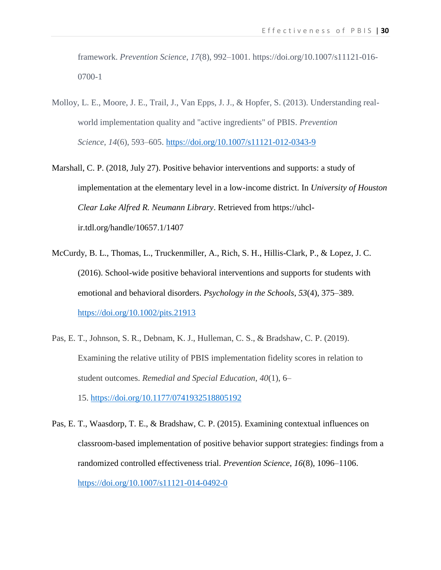framework. *Prevention Science*, *17*(8), 992–1001. https://doi.org/10.1007/s11121-016- 0700-1

- Molloy, L. E., Moore, J. E., Trail, J., Van Epps, J. J., & Hopfer, S. (2013). Understanding realworld implementation quality and "active ingredients" of PBIS. *Prevention Science*, *14*(6), 593–605.<https://doi.org/10.1007/s11121-012-0343-9>
- Marshall, C. P. (2018, July 27). Positive behavior interventions and supports: a study of implementation at the elementary level in a low-income district. In *University of Houston Clear Lake Alfred R. Neumann Library*. Retrieved from https://uhclir.tdl.org/handle/10657.1/1407
- McCurdy, B. L., Thomas, L., Truckenmiller, A., Rich, S. H., Hillis-Clark, P., & Lopez, J. C. (2016). School-wide positive behavioral interventions and supports for students with emotional and behavioral disorders. *Psychology in the Schools*, *53*(4), 375–389. <https://doi.org/10.1002/pits.21913>
- Pas, E. T., Johnson, S. R., Debnam, K. J., Hulleman, C. S., & Bradshaw, C. P. (2019). Examining the relative utility of PBIS implementation fidelity scores in relation to student outcomes. *Remedial and Special Education*, *40*(1), 6– 15. <https://doi.org/10.1177/0741932518805192>
- Pas, E. T., Waasdorp, T. E., & Bradshaw, C. P. (2015). Examining contextual influences on classroom-based implementation of positive behavior support strategies: findings from a randomized controlled effectiveness trial. *Prevention Science*, *16*(8), 1096–1106. <https://doi.org/10.1007/s11121-014-0492-0>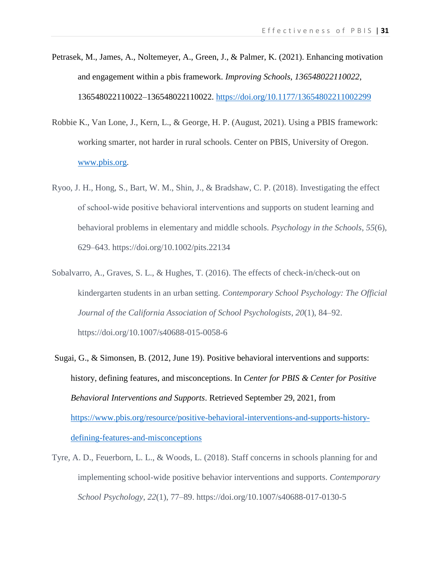- Petrasek, M., James, A., Noltemeyer, A., Green, J., & Palmer, K. (2021). Enhancing motivation and engagement within a pbis framework. *Improving Schools*, *136548022110022*, 136548022110022–136548022110022.<https://doi.org/10.1177/13654802211002299>
- Robbie K., Van Lone, J., Kern, L., & George, H. P. (August, 2021). Using a PBIS framework: working smarter, not harder in rural schools. Center on PBIS, University of Oregon. [www.pbis.org.](http://www.pbis.org/)
- Ryoo, J. H., Hong, S., Bart, W. M., Shin, J., & Bradshaw, C. P. (2018). Investigating the effect of school‐wide positive behavioral interventions and supports on student learning and behavioral problems in elementary and middle schools. *Psychology in the Schools*, *55*(6), 629–643. https://doi.org/10.1002/pits.22134
- Sobalvarro, A., Graves, S. L., & Hughes, T. (2016). The effects of check-in/check-out on kindergarten students in an urban setting. *Contemporary School Psychology: The Official Journal of the California Association of School Psychologists*, *20*(1), 84–92. https://doi.org/10.1007/s40688-015-0058-6
- Sugai, G., & Simonsen, B. (2012, June 19). Positive behavioral interventions and supports: history, defining features, and misconceptions. In *Center for PBIS & Center for Positive Behavioral Interventions and Supports*. Retrieved September 29, 2021, from [https://www.pbis.org/resource/positive-behavioral-interventions-and-supports-history](https://www.pbis.org/resource/positive-behavioral-interventions-and-supports-history-defining-features-and-misconceptions)[defining-features-and-misconceptions](https://www.pbis.org/resource/positive-behavioral-interventions-and-supports-history-defining-features-and-misconceptions)
- Tyre, A. D., Feuerborn, L. L., & Woods, L. (2018). Staff concerns in schools planning for and implementing school-wide positive behavior interventions and supports. *Contemporary School Psychology*, *22*(1), 77–89. https://doi.org/10.1007/s40688-017-0130-5